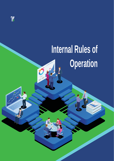

# **Internal Rules of Operation**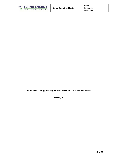

**As amended and approved by virtue of a decision of the Board of Directors**

**Athens, 2021**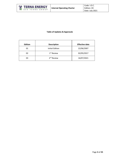

# **Table of Updates & Approvals**

| <b>Edition</b> | <b>Description</b>     | <b>Effective date</b> |
|----------------|------------------------|-----------------------|
| 01             | Initial Edition        | 22/06/2007            |
| 02             | 1 <sup>st</sup> Review | 02/05/2017            |
| 03             | 2 <sup>nd</sup> Review | 16/07/2021            |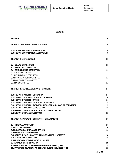

#### **Contents**

| <b>PREAMBLE</b>                                                    | 6  |
|--------------------------------------------------------------------|----|
| <b>CHAPTER I: ORGANIZATIONAL STRUCTURE</b>                         | 8  |
| <b>1. GENERAL MEETING OF SHAREHOLDERS</b>                          | 8  |
| <b>2. GENERAL ORGANIZATIONAL STRUCTURE</b>                         | 8  |
| <b>CHAPTER II: MANAGEMENT</b>                                      | 11 |
| <b>BOARD OF DIRECTORS</b><br>2.                                    | 11 |
| 3. EXECUTIVE COMMITTEE                                             | 11 |
| 3. COUNCILS AND COMMITTEES                                         | 11 |
| <b>3.1 AUDIT COMMITTEE</b>                                         | 12 |
| 3.2 NOMINATIONS COMMITTEE                                          | 12 |
| 3.3 REMUNERATION COMMITTEE                                         | 12 |
| 3.4 INVESTMENT COMMITTEE                                           | 12 |
| 3.5 ESG COMMITTEE                                                  | 12 |
| <b>CHAPTER III: GENERAL DIVISIONS - DIVISIONS</b>                  | 14 |
| <b>1. GENERAL DIVISION OF OPERATION</b>                            | 14 |
| 2. GENERAL DIVISION OF ACTIVITIES OF GREECE                        | 14 |
| <b>3. GENERAL DIVISION OF TRADE</b>                                | 14 |
| 4. GENERAL DIVISION OF ACTIVITIES OF AMERICA                       | 14 |
| 5. GENERAL DIVISION OF ACTIVITIES IN EUROPE AND IN OTHER COUNTRIES | 15 |
| <b>6. GENERAL DIVISION OF CONCESSIONS</b>                          | 15 |
| <b>7. DIVISION OF FINANCIAL AND ADMINISTRATIVE SERVICES</b>        | 15 |
| <b>8. DIVISION OF FINANCIAL SERVICES</b>                           | 15 |
| <b>CHAPTER IV: INDEPENDENT SERVICES - DEPARTMENTS</b>              | 16 |
| 1. INTERNAL AUDIT UNIT                                             | 16 |
| <b>2. LEGAL DEPARTMENT</b>                                         | 16 |
| <b>3. REGULATORY COMPLIANCE OFFICER</b>                            | 16 |
| <b>4. RISK MANAGEMENT OFFICER</b>                                  | 17 |
| 5. QUALITY - HEALTH & SAFETY - ENVIRONMENT DEPARTMENT              | 18 |
| <b>6. DATA PROTECTION OFFICER</b>                                  | 18 |
| 7. LABORATORY OF WIND MEASUREMENTS                                 | 19 |
| <b>8. COMMUNICATION DIVISION</b>                                   | 19 |
| 9. CORPORATE SOCIAL RESPONSIBILITY DEPARTMENT (CSR)                | 19 |
| 10. INVESTORS RELATIONS AND SHAREHOLDERS SERVICES OFFICE           | 19 |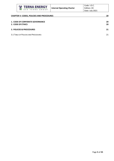

| <b>CHAPTER V: CODES, POLICIES AND PROCEDURES</b>            | 20       |
|-------------------------------------------------------------|----------|
| <b>1. CODE OF CORPORATE GOVERNANCE</b><br>2. CODE OF ETHICS | 20<br>20 |
| 3. POLICIES & PROCEDURES                                    | 21       |
| 3.1 TABLE OF POLICIES AND PROCEDURES                        | 21       |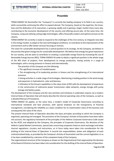# **Preamble**

<span id="page-5-0"></span>TERNA ENERGY SA (hereinafter the "Company") is currently the leading company in its field in our country, while successfully continuing the effort to expand abroad. The Company, based on the expertise, the knowhow and the dedication of its executives, is growing rapidly and is gaining a larger market share every day, contributing to the economic development of the country and offering secure jobs. At the same time, the Company, using and utilizing cutting-edge technologies, offers financially modern and optimal services to the citizens.

TERNA ENERGY SA currently is ready to respond to the challenges of the 21st century, to integrate new data in the energy market, to adapt to the new technological conditions, to contribute to the improvement of the environment and to offer better services focusing on humans.

The vision for sustainable development has a central position to its strategy. At the Company, we believe in the priority that green energy has for sustainable development. We believe that energy has great importance for our society, and we want to contribute to creating a sustainable energy future by increasing the use of Renewable Energy Sources (RES). TERNA ENERGY SA seeks to obtain a significant position in the whole range of the RES chain of projects, from development to energy production, having activity in a range of technologies, with a strong presence in Greece and internationally.

The priorities of the Company are the following:

• The significant increase of installed power.

• The strengthening of its leadership position in Greece and the strengthening of its international presence.

• Having activities in a wide range of technologies. Maintaining a leading position in the wind energy and expansion in hydroelectric, solar and biomass.

• Utilization of the Group's capabilities in the value chain of RES with the development of experience in the construction of submarine power transmission cable networks, energy storage with pump storage and battery packs.

The development of the Company and the new activities and initiatives it undertakes require: (a) a modern Internal Rules of Operation that will clearly describe the internal operating rules of the Company, as well as a detailed Manual of Procedures.

TERNA ENERGY SA applies, at the same time, a modern model of Corporate Governance according to international standards and best practices, with special emphasis on the transparency of financial management, considering the reliability as a basic condition for its maximization value of the business and consequently the value of the share.

The present Internal Rules of Operation describes the basic principles according to which the Company is organized, operating and managed. The provisions of the Company's Articles of Association have been taken into account, the regulatory framework of the principles of the Hellenic Corporate Governance Code issued by the HCGC and adopted by the Company, the principles of Corporate Governance, the decisions of the Hellenic Capital Market Commission, special laws concerning companies listed on stock exchanges and other internal regulations, circulars and instructions, as in force today were taken into consideration for the drafting of this Internal Rules of Operation. It records the responsibilities, duties and obligations of each institutionalized body, as provided by the Company's Articles of Association and the current legislation or as it has been established by a decision of the competent body of the Company.

The organizational structure of the Company as shown on the Organizational Chart approved by the decision of the Board of Directors has been taken into consideration for the drafting of the Internal Rules of Operation.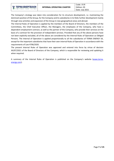É

**O M I A O Z** 

**TEPNA ENEPTEIAKH** 

The Company's strategy was taken into consideration for its structure development, i.e. maintaining the dominant position of the Group, for the Company and its subsidiaries in its field, further development mainly through new activities and expansion of the Group in new geographical areas and abroad.

The Internal Rules of Operation is applied by the members of the Board of Directors, the members of the Committees, the Chief Executive Officer, the Managers, the employees of the Company, who have a dependent employment contract, as well as the partner of the Company, who provide their services on the basis of a contract for the provision of independent services. Provided that any of the above persons have not been explicitly excluded, all of the above are considered by the Internal Rules of Operation as Obliged Persons. The Internal of Operation is applied proportionally to all the subsidiaries of TERNA ENERGY SA, except for the important subsidiaries that have their own internal Rules of Operation in accordance with the requirements of Law 4706/2020.

The present Internal Rules of Operation was approved and entered into force by virtue of decision XX/07/2021 of the Board of Directors of the Company, which is responsible for reviewing and updating it when required.

A summary of the Internal Rules of Operation is published on the Company's website [\(www.terna](http://www.terna-energy.com/)[energy.com\)](http://www.terna-energy.com/).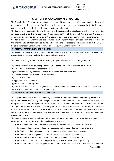

## **CHAPTER Ι: ORGANIZATIONAL STRUCTURE**

<span id="page-7-0"></span>The Organizational Structure of the Company is designed taking into account its operational needs, as well as the principles of "segregation of duties", in order to ensure good operation, according to its size and in compliance with respective legislative and regulatory requirements.

The Company is organized in General Divisions and Divisions, which are in charge of distinct responsibilities and specific activities. The number, subject and responsibilities of the General Divisions and Divisions are determined or modified by a decision of the Board of Directors, with a corresponding amendment of the Charter, in accordance with the applicable laws and the Company's Articles of Association. The provisions of the Internal Rules of Operation also define and describe the basic responsibilities and duties of the Obliged Persons under each General Division / Division of the current Organization Chart.

#### **1. GENERAL MEETING OF SHAREHOLDERS**

The General Meeting of Shareholders of the Company is the supreme body that decides on every case concerning the Company. Its legal decisions are always binding.

The General Meeting of Shareholders is the only competent body to decide, among other, on:

- a) Extension of the duration, merger or dissolution of the Company, conversion, split, revival.
- b) Amendment of the articles of association.
- c) Issuance of a loan by bonds of any form other than a common bond loan.
- d) Election of members of the Board of Directors.
- e) Election of auditors.
- f) Appointment of liquidators.
- g) Distribution of annual profits.

h) Approval of the annual accounts (annual financial statements) and release of the members of the Board of Directors and the Auditors from any responsibility.

#### **2. GENERAL ORGANIZATIONAL STRUCTURE**

The Organizational Structure of the Company at the level of General Divisions / Divisions is presented in the figure that follows. In each segment or segments of the market, where the Company or a subsidiary of the Company is activated, through which the statutory purpose of TERNA ENERGY SA is implemented, there is an organizational unit that serves it. These organizational units operate as Profit Centers and constitute the Business Units of the Company in Greece and abroad. The organizational units whose mission is the service and support of the Profit Centers and the Management, operate as Cost Centers and constitute the Central Units of the Company.

The organizational structure and operational organization of the Company must ensure adequate decentralization of decisions, in order to achieve the following:

- the implementation of the business objectives set by decisions of the Board of Directors,
- the speed and correctness of decisions making, as well as their effective implementation,
- the flexibility, adaptability and prompt response to market demands and pressures,
- the specialization and quality of services of each specific market segment,
- the initiative, the pursuit of innovations and the development of new markets,
- the clear distinction of roles and responsibilities, as well as the limits of responsibility,
- the full utilization and the best possible distribution of administrative responsibilities to the members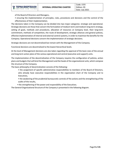of the Board of Directors and Managers,

**TEPNA ENEPFEIA** 

• ensuring the implementation of principles, rules, procedures and decisions and the control of the effectiveness of their implementation.

The decisions taken in the Company can be divided into two major categories: strategic and operational. Strategic decisions are those that concern the formulation of medium-term and medium-long-term strategy, setting of goals, methods and procedures, allocation of resources at Company level, their long-term commitment, methods of competition, the route of development, strategic alliances and general policies, effective implementation of internal and external control systems, in order to maximize the benefits for the Company. Operational decisions concern the implementation of strategic decisions.

Strategic decisions are not decentralized but remain with the Management of the Company.

Functional decisions are decentralized to the lowest hierarchical levels.

At the level of Management decisions are also taken regarding the approval of the basic sizes of the annual and long-term action plans of the various operational and central (executive and support) units.

The implementation of the decentralization of the Company requires the configuration of policies, action plans and budgets that will bind the Management and the heads of the organizational units, which compose the structure of the Company.

The basic philosophy of decentralization consists of the following:

- the assignment of specific administrative responsibilities to members of the Board of Directors, who already have executive responsibilities in the organization chart of the Company and to Executives,
- the weakening of the prudential bureaucratic controls of the actions and the strengthening of the audits of the results,
- the strengthening of the power and responsibility of the Executives.

The General Organizational Structure of the Company is presented in the following diagram.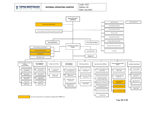



Page **10** of **25**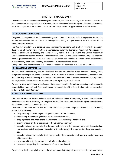## **CHAPTER II: MANAGEMENT**

<span id="page-10-0"></span>The composition, the manner of convening and operation, as well as the activity of the Board of Directors of the Company and the responsibilities of its members are determined by the Company's Articles of Association, the Rules of Operation of the Board of Directors and the provisions of applicable law, to which it refers.

## **1. BOARD OF DIRECTORS**

The general management of the Company belongs to the Board of Directors, which is responsible for deciding on any action concerning the Company's Management, having as a permanent basis the defense of the general corporate interest.

The Board of Directors, as a collective body, manages the Company and its affairs, taking the necessary decisions on all matters falling within its competence under the Company's Articles of Association, the decisions of the General Meeting and the relevant legislation. It is liable towards the General Meeting of Shareholders to secure their interests and for the overall efficiency and operation of the Company. It decides on all corporate matters, except those for which, based on the legal framework and the Articles of Association of the Company, the General Meeting of Shareholders is responsible to decide.

The operation and responsibilities of the Board of Directors are described in its Rules of Operation.

## **2. EXECUTIVE COMMITTEE**

An Executive Committee may also be established by virtue of a decision of the Board of Directors, which assigns to it certain powers or duties of the Board of Directors. In this case, the composition, responsibilities, duties and way of decision-making of the Executive Committee, as well as any matter concerning its operation are regulated by the decision of the Board of Directors regarding its establishment.

Pursuant to a relevant decision of the Board of Directors, an Executive Committee was set up to which specific responsibilities were assigned. The operation and responsibilities of the Executive Committee are described in detail in its Rules of Operation.

#### **3. COUNCILS AND COMMITTEES**

The Board of Directors has the ability to establish collective bodies of temporary or permanent character, whenever it considers it necessary, to strengthen the organizational structure of the Company and to facilitate the achievement of its business objectives.

The Councils or Committees are advisory bodies of the Management and process issues that relate, among others, to the following:

- the processing of the strategies and general policies of the Company,
- the defining of the broad guidelines for the annual action plan,
- the preparation of suggestions to the Management to make important decisions,
- the information on the effectiveness of the Company's operation,
- the submission of proposals for the development policy and the necessary actions and steps to claim new projects and strategic communication with customers, partner companies, designers, suppliers, etc.
- the submission of proposals for the improvement of the organizational structure of the Company and of its subsidiaries,
- the proposal to establish criteria and rules for staff evaluation,
- the research regarding the development of new areas of activity.

Each collective body is a key link between the Management that sets goals and the executive mechanism that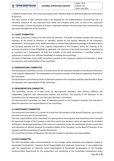is called to achieve them. The issues processed by each collective body are defined by decisions of the Board of Directors.

The main mission of each collective body is the proposal for the implementation of preventive and / or corrective measures for any important issue which the Company deals with, as well as the systematic communication, mutual information and team cooperation between the executives who constitute the top and senior Management of the Company.

## <span id="page-11-0"></span>**3.1 AUDIT COMMITTEE**

The Audit Committee consists of at least three (3) members. The Audit Committee includes Non-Executive members of the Board of Directors or members elected by the General Meeting of the Company's shareholders. The members of the Audit Committee as a whole have sufficient knowledge in the field in which the Company operates and are in the majority Independent of the Company, within the meaning of the provisions of article 9 of law 4706/2020, as applicable. The Chairman of the Audit Committee is appointed by its members and is Independent. At least one member of the Audit Committee is a certified auditor in suspension or retired or has sufficient knowledge of auditing and accounting.

The Rules of Operation of the Audit Committee is posted on the Company's website and describes in detail the operation and responsibilities of the Committee.

## <span id="page-11-1"></span>**3.2 NOMINATIONS COMMITTEE**

The Nominations Committee consists of at least three (3) non-executive members of the Board of Directors, in the majority independent. The independent-non-executive member of the Board is appointed Chairman of the Committee.

The Nominations Committee has Rules of Operation posted on the Company's website, that describe in detail the operation and responsibilities of the Committee.

## <span id="page-11-2"></span>**3.3 REMUNERATION COMMITTEE**

The Committee consists of at least three (3) Non-Executive Members, who exercise sufficient and independent judgment over remuneration policies and practices. The majority of the Members of the Committee must be independent non-Executive Members of the Board.

The Remuneration Committee has Rules of Operation posted on the Company's website, that describe in detail the operation and responsibilities of the Committee.

#### <span id="page-11-3"></span>**3.4 INVESTMENT COMMITTEE**

The Investment Committee (I.C.) consists of at least four (4) members of the Board of Directors, up to two (2) executive and up to two (2) non-executive.

The main responsibilities of the Committee are, among others: ensuring that new investments are in line with the approved strategy of the Company or that they consist new decisions, which are approved by the Board of Directors, the general evaluation of the return on investments made, the examination of new investments and submission of relevant proposal to competent bodies of the Company / to the Board of Directors of the Company and the examination of specific divestments.

The Committee has Rules of Operation that describe in detail its operation and responsibilities.

#### <span id="page-11-4"></span>**3.5 ESG COMMITTEE**

The ESG Committee makes recommendations on the strategy, policy, objectives and programs related to Sustainable Development, Corporate Social Responsibility and Corporate Governance. It also collaborates with the Department of Corporate Social Responsibility & Sustainable Development of the Strategic Communication Department for the preparation and monitoring of the Sustainable Development policy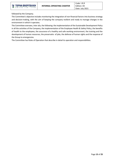

followed by the Company.

The Committee's objective includes monitoring the integration of non-financial factors into business strategy and decision-making, with the aim of keeping the company resilient and ready to manage changes in the environment in which it operates.

The Committee oversees, inter alia, the following: the implementation of the Sustainable Development Policy in all the activities of the Company, the implementation of the Employee Health & Safety Policy, the benefits of health to the employees, the assurance of a healthy and safe working environment, the training and the development of human resources, the preservatio of jobs, the defense of human rights and the response of the Group to emergencies.

The Committee has Rules of Operation that describe in detail its operation and responsibilities.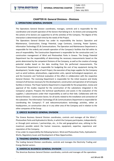# **CHAPTER ΙΙΙ: General Divisions - Divisions**

## <span id="page-13-0"></span>**1. OPERATIONS GENERAL DIVISION**

The Operations General Division coordinates, manages, controls and is responsible for the coordination and smooth operation of the Sectors that belong to it. Its Actions and consequently the actions of its Sectors are supportive to all the activities of the Company. The degree of this interaction is determined each time by the needs of the Project.

The Operations General Division has under its responsibility the Sectors: Operation and Maintenance, Construction, Energy Potential, Large Contracts, Licensing, Power Systems, Information Technology (IT) & Communications. The Operation and Maintenance Department is responsible for the orderly and smooth operation of the Company's facilities that fall within its area of responsibility. The Construction Department is responsible for the construction and / or construction management of Wind and Photovoltaic Parks in Greece. The Energy Potential Department has the responsibility of determining the necessary measurements based on the points determined by the competent Divisions of the Company, as well as the creation of energy potential studies based on the data resulting from the performed measurements. The Procurement Department is responsible for budgeting the cost of key equipment during the development / tender stage of each Project, the execution of key large supplies for the Company such as wind turbines, photovoltaics, cogeneration units, special technological equipment, etc. and the Economic and Technical evaluation of the offers in collaboration with the respective General Division. The Licensing Department is responsible for the initial issuance and timely renewal of all licenses necessary for the development, construction and operation of all Company facilities in Greece. The Power Systems Department is responsible for the preparation, review and approval of the studies required for the construction of the substations integrated in the Company's projects. Prepares the technical specifications and assists in the evaluation of the suppliers / subcontractors under their responsibility as well as their bids. Collaborates with the General Divisions - Construction Sector, for all works related to the installation and connection of the substation. The Information Technology (IT) & Communications Department is responsible for coordinating the Company's IT and telecommunications technology activities, either at headquarters, on construction sites or in any other area of the Company and in relation to the other companies of the Group.

## **2. GREECE BUSINESS GENERAL DIVISION**

The Greece Business General Division coordinates, controls and manages all the Wind / Photovoltaic Parks and Hydroelectric Works, in which the Company participates, independently or through joint ventures / partnerships, etc., in the said geographical area, utilizing to the maximum possible extent the human resources, equipment, expertise, experience and reputation of the Company.

It has under its responsibility the following Sectors: Wind and Photovoltaic Parks, Hydroelectric Works, Regulatory Issues and Development of New Opportunities.

## **3. TRADING GENERAL DIVISION**

The trading General Division coordinates, controls and manages the Electricity Trading and Energy Market sectors.

## **4. AMERICAS BUSINESS GENERAL DIVISION**

The Americas Business General Division coordinates, controls and manages all the operations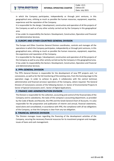in which the Company participates, independently or through joint ventures, in this geographical area, utilizing as much as possible the human resources, equipment, expertise, experience and the reputation of the Company.

It is responsible for the design / development, construction and operation of all the projects of the Company as well as of any other activity carried out by the Company in this geographical area.

It has under its responsibility the Sectors: Development, Construction, Operation and Financial and Administrative Services.

## **5. EUROPE AND OTHER COUNTRIES GENERAL DIVISION**

The Europe and Other Countries General Division coordinates, controls and manages all the operations in which the Company participates, independently or through joint ventures, in this geographical area, utilizing as much as possible the human resources, equipment, expertise, the experience and reputation of the Company.

It is responsible for the design / development, construction and operation of all the projects of the Company as well as any other activity carried out by the Company in this geographical area. It has under its responsibility the Sectors: Development, Construction, Operation and Financial and Administrative Services.

#### **6. PPPs GENERAL DIVISION**

The PPPs General Division is responsible for the development of new PPP projects and / or concessions, as well as for the full monitoring of the existing ones, from the licensing stage to the operation stage. In order to achieve its goals, it collaborates with the central technical, administrative and financial services/ operations of the Company, where required. The General Division of Concessions consists of the following Sectors: A. Sector of Environmental Projects B. Sector of Special Concessions and C. Sector of Digital Applications.

#### **7. FINANCE AND ADMINISTRATION DIVISION**

The Division is responsible for the collection, accounting and control of the financial data of the Company and its subsidiaries, the tasks of the company's accounting department, as provided by the Code of Books and Records, the IFRS and the Greek General Chart of Accounts. It is also responsible for the preparation and publication of interim and annual, financial statements, stand alone and consolidated, in accordance with IFRS, the compliance with all tax obligations of the Company, so that the Company is clear from any tax obligation.

#### **8. FINANCIAL SERVICES DIVISION**

The Division manages issues regarding the financing of the development activities of the Company, securing the necessary financial resources for its investment program and manages issues of loans and cash management.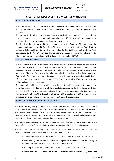## <span id="page-15-0"></span>**CHAPTER IV: INDEPENDENT SERVICES - DEPARTMENTS**

#### <span id="page-15-1"></span>**1. INTERNAL AUDIT UNIT**

The Internal Audit Unit has an independent, objective, assurance, auditing and consulting activity that aims at adding value to the Company by improving corporate operations and processes.

The Internal Audit Unit supports the company in achieving its goals, applying a systematic and prudent approach to evaluating and improving the effectiveness of risk management processes, internal control systems and Corporate Governance.

The Head of the Internal Audit Unit is appointed by the Board of Directors upon the recommendation of the Audit Committee. The responsibilities of the Internal Audit Unit are defined in its Rules of Operation which is approved by the Board of Directors. The Internal Audit Unit reports to the Audit Committee. The Company is obliged to inform the Hellenic Capital Market Commission of any change of the Head of the Internal Audit Unit.

#### **2. LEGAL DEPARTMENT**

The Legal Department is responsible for the prevention and resolution of legal issues that arise during the exercise of the Company's activities. It provides consulting support to the Management and the heads of the organizational units. Its character is both executive and supportive. The Legal Department has advisory authority regarding the legislative-regulatory framework of the Company's operations and has executive authority regarding specific issues of legal nature, which is responsible to handle. The Company has a Legal Department consisting of internal and external partners.

The cooperation with external law offices, law firms, notary offices regarding the handling of individual issues of the Company or of the projects is approved by the Chief Executive Officer or Executive Officer, who has been assigned the relevant competence, following a relevant recommendation by the Chief Executive Officer and of the legal advisor of the company, who are responsible for drafting the relevant agreement for such cooperation.

## **3. REGULATORY & COMPLIANCE OFFICER**

The role of the Regulatory & Compliance Officer is to ensure the Company's compliance with the current legislative and regulatory framework, which governsits business activities and operation. The Regulatory Compliance Officer protects the integrity and reputation of the Company through the creation and implementation of a complete compliance program, which includes prevention, repression and response measures regarding compliance issues.

The Regulatory Compliance Officer has an operational line of reference to the Board of Directors (hereinafter the " BoD"), while administratively it reports to the Chief Executive Officer.

The responsibilities of the Regulatory Compliance Officer include prevention, suppression/ detection and response actions, among which are the following:

- 1. Configuration and establishment of a corporate culture of regulatory compliance.
- 2. Determining the current legislative and regulatory framework and monitoring its amendments, with the assistance of the Legal Department.
- 3. Ensuring effective implementation of compliance policies and procedures.
- 4. Analysis of discrepancies and development of action plans in relation to legislative and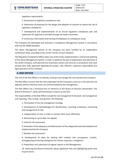regulatory requirements.

5. Assessment of regulatory compliance risks.

6. Submission of proposals for the design and adoption of controls to reduce the risk of regulatory compliance.

7. Development and implementation of an annual regulatory compliance plan and submission for approval to the BoD through the Audit Committee.

8. Continuous information and training of employees on compliance issues.

The Company has developed and maintains a Compliance Management System in accordance with the ISO 19600 Standard.

The above Management System of the Company has been certified by an independent certification body, according to the current version of each standard.

The Regulatory Compliance Officer takes care of the study, implementation, control and updating of the above Management System, in order to optimize the way of organization and operation of the whole Company, with planned and systematic actions and controls or procedures that have already been dully approved regarding the proper, safe, efficient, corporate responsibility and legal operation of the Company.

#### **4. RISK OFFICER**

The role of the Risk Officer is to identify, evaluate and manage the risks faced by the Company.

The Risk Officer ensures that the risks undertaken by the Company's units are in line with the risk appetite and the tolerance limits set and formulated by the management.

The Risk Officer has a functional line of reference to the Board of Directors (hereinafter "the Board of Directors"), while administratively it reports to the CEO.

The responsibilities of the Risk Officer include the risk management framework, risk management and reporting. They include, among them, the following:

1. Formulation of the risk management strategy.

2. Development of methodologies for identification, recording, evaluation, monitoring and management of risks.

3. Categorization of risks, in order to monitor them more effectively.

4. Maintaining an up-to-date risk register.

5. Inherent risk assessment.

6. Evaluation of the adequacy and effectiveness of the safeguards (controls) adopted and implemented by the Company.

7. Residual risk assessment.

8. Development of plans for dealing with residual risks (acceptance, transfer, strengthening of existing checkpoints for further reduction / mitigation).

9. Preparation and submission of regular reports to the Management.

10. Informing the Board of Directors about significant risks and highlighting points that require action.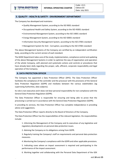#### **5. QUALITY - HEALTH & SAFETY - ENVIRONMENT DEPARTMENT**

The Company has developed and maintains:

- Quality Management System, according to the ISO 9001 standard
- Occupational Health and Safety System, according to the ISO 45001 standard
- Environmental Management System, according to the ISO 14001 standard
- Energy Management System, according to the ISO 50001 standard
- Information Security Management System, according to the ISO 27001 standard
- Management System for Anti Corruption, according to the ISO 37001 standard

The above Management Systems of the Company are certified by an independent certification body, according to the current version of each standard.

The QHSE Department takes care of the study, implementation, compliance control and updating of the above Management Systems in order to optimize the way of organization and operation of the whole Company, with planned and systematic actions and controls or procedures that have already been dully regarding the proper, safe, efficient, corporate responsibility and legal operation of the Company.

#### **6. DATA PROTECTION OFFICER**

The Company has appointed a Data Protection Officer (DPO). The Data Protection Officer facilitates the compliance of the controller and the processor with the provisions of the General Data Protection Regulation (GDPR) and mediates between the various stakeholders (eg supervising Authorities, data subjects).

Its role is non-executive and it does not bear personal responsibility for non-compliance with the General Data Protection Regulation (GDPR).

The Data Protection Officer is responsible for ensuring and being able to prove that the processing is carried out in accordance with the General Data Protection Regulation (GDPR).

In providing its services, the Data Protection Officer has complete independence in providing advice and suggestions.

The Data Protection Officer reports directly to the Board of Directors of the Company.

The Data Protection Officer has the responsibilities of the relevant legislation. His responsibilities include:

1. Informing the Management of the Company and its executives of any legislative and regulatory developments on personal data protection issues.

2. Advising the Company on its obligations arising from GDPR.

3. Regularly training the Company's staff on requirements and personal data protection measures.

4. Monitoring the Company's compliance with the GDPR and other applicable provisions.

5. Indicating cases where an impact assessment is required and participating in the performance of the impact assessment.

6. Working together and collaborating with the Personal Data Department of the GEK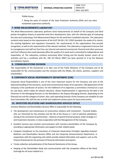TERNA Group.

7. Being the point of contact of the Data Protection Authority (DPA) and any other competent supervisory authority.

#### **7. WIND MEASUREMENTS LABORATORY**

The Wind Measurements Laboratory performs wind measurements on behalf of the Company and third parties throughout Greece at potential wind farm development sites, with the ultimate goal of evaluating the sites and conducting a Test-Measurement Report for the wind farm installation decision. The Laboratory conducts tests based on the requirements of the ELOT EN ISO / IEC 17025 Standard, the needs of its clients, the existing legislative and regulatory framework, the requirements of the organizations that provide recognition, as well as the requirements of the relevant methods. The Laboratory is organized to ensure that its management and staff are free from any internal and external commercial, financial and other pressures and from influence that could adversely affect the quality of its work and is committed to independence and impartiality. of. The Laboratory conducts exclusively Wind Testing and the Quality System covers all its activities and has a certificate with No. 336 (19 March 2007) has been granted to it by the National Accreditation System.

## **8. COMMUNICATIONS DIVISION**

The responsibility of the Directorate is to take care of the Public Relations of the Company and to be responsible for the communication and the contacts with the Media, the clients, partners, suppliers and shareholders.

## **9. CORPORATE SOCIAL RESPONSIBILITY DEPARTMENT (CSR)**

Corporate Social Responsibility is one of the most important sectors for the Company and aims at the balanced handling of the economic, social and environmental impact of its operation. CSR department of the Company is the coordinator of actions. For the fulfillment of its objectives a committee is formed on a case by case basis, which makes all relevant decisions, whose implementation is approved by the BoD or the Chairman or the Managing Directors or the Mandated or the Deputy Managing Director, depending on the financial size and the category of action. Also, each operating function of the Company can establish its own local Committee CSR, with the aim to draft and implement actions plans for local communities.

#### **10. INVESTORS RELATIONS AND SHAREHOLDERS SERVICES OFFICE**

Investors Relations and Shareholders Services Office is responsible for the following:

- The development and maintenance of constructive relations with investment financial bodies, who are interested for the activities and the life of the Group or / and of selected subsidiaries, aiming at the conclusion of partnerships – alliances of special financial purpose, wider strategic or / and investment character, in close cooperation with the Management of the Company.
- Excellent services and constant communication with investors-shareholders of the Company by providing or appropriate information and support to their related needs.
- Company Compliance to the provisions of Corporate Governance Principles regarding Investors Relations and Shareholders Services Office and the Corporate Announcements Department, in cooperation with the organizing units which provide related information and support, such as the Finance Directorate for the provision of financial information and reports.
- Timely collection and publication of the financial Statements of the Group.
- Keeping of the Shareholders Book and communication with the competent offices of the Stock Exchange for all issues related to it.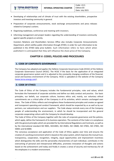- Developing of relationships and of climate of trust with the existing shareholders, prospective investors and investing community in general.
- Preparation of corporate announcements, stock exchange announcements and press releases related to Company's actions.
- Organising roadshows, conference and meeting with investors.
- Informing management and project leaders regarding the understanding of investors community against specific projects or activity.

Investors Relations and Shareholders Services Office also includes Corporate Announcements Department, which notifies public information through ATHEX, in order for such information to be published in the ATHEX daily price bulletin. Such information refers to facts which when published it is anticipated that they will influence the share price of the Company.

# **CHAPTER V: CODES, POLICIES AND PROCEDURES**

## <span id="page-19-0"></span>**1. CODE OF CORPORATE GOVERNANCE**

The Company has adopted and applies the Hellenic Corporate Governance Code (HCGC) of the Hellenic Corporate Governance Council (HCGC). The HCGC if the basis for the application of an integrated corporate governance system and it is adjusted to the constantly changing conditions of the financial, social and business environment of the Company. HCGC is uploaded on the website of the Company [\(www.terna-energy.com\)](http://www.terna-energy.com/) .

## **2. CODE OF ETHICS**

The Code of Ethics of the Company includes the fundamental principles, rules and values, which formulate the framework of corporate activities and define our daily conduct and practice. Our basic principles, our beliefs, our corporate culture, business ethics and, mainly, our voluntary ethical commitments are a critical pillar of the Company in all its activities, which remains unchanged over times. The Code of Ethics reflects and strengthens these fundamental principles and creates an agreed and transparent operating and conduct framework, which should be respected by us as well as by our partners, our subcontractors and our suppliers. The Code always reminds every one of the Company people of understanding the environment, in which he should be incorporated and the general corporate cooperating culture with the Company he should develop.

The Code of Ethics of the Company together with the rules of corporate governance and the policies, which apply, define the framework of its business operation. The contents of the Code is in compliance with the general principles which are provided for by International Regulations and Contracts, as well as by the international standard ISO 9001, ISO14001, ISO 45001, ISO 19600, ISO 37001, ISO 27001, ISO 50001 and SA 8000.

The conscious acceptance and application of the Code of Ethics applies over time and ensures the creation of a working environment which is based on the value system, which improvesthe mutual trust, transparency, cooperation, recognition, integrity, equal opportunities and improvement incentives which distinguishes the skills and the personality characteristics of each individual, contributes in the overcoming of personal and interpersonal difficulties, promotes innovation of thoughts and actions based on the achievement until today and finally it creates a sense of security and meritocracy for all the employees in a modern environment.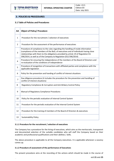

# **3. POLICIES & PROCEDURES**

# <span id="page-20-0"></span>**3.1 Table of Policies and Procedures**

| AA             | <b>Object of Policy/ Procedure</b>                                                                                                                                                                                                                                                                                                  |  |  |
|----------------|-------------------------------------------------------------------------------------------------------------------------------------------------------------------------------------------------------------------------------------------------------------------------------------------------------------------------------------|--|--|
| $\mathbf{1}$   | Procedure for the recruitment / selection of executives                                                                                                                                                                                                                                                                             |  |  |
| $\overline{2}$ | Procedure for the assessment of the performance of executives                                                                                                                                                                                                                                                                       |  |  |
| 3              | Procedure of compliance to the rules regarding the handling of inside information<br>(compliance of the members of the BoD, of executives and of individuals having close<br>relationships with them to the obligations provided by article 19 of Regulation EU<br>596/2014, as well as of the Company to Regulation (EU) 596/2014) |  |  |
| 4              | Procedure for ensuring the independence of the members of the Board of Directors and<br>re-evaluation of the conditions of independence                                                                                                                                                                                             |  |  |
| 5              | Procedure of recognition of transactions with affiliated parties and compliance with the<br>applicable legislation                                                                                                                                                                                                                  |  |  |
| 6              | Policy for the prevention and handing of conflict of interest situations                                                                                                                                                                                                                                                            |  |  |
| $\overline{7}$ | Due diligence procedure (it includes the procedure for the prevention and handling of<br>conflict of interest situations)                                                                                                                                                                                                           |  |  |
| 8              | Regulatory Compliance & Corruption and Anti-Bribery Control Policy                                                                                                                                                                                                                                                                  |  |  |
| 9              | Manual of Regulatory Compliance Procedures                                                                                                                                                                                                                                                                                          |  |  |
| 10             | Policy for the periodic evaluation of Internal Control System                                                                                                                                                                                                                                                                       |  |  |
| 11             | Procedure for the periodic evaluation of the Internal Control System                                                                                                                                                                                                                                                                |  |  |
| 12             | Procedure for the training of members of the Board of Directors & executives                                                                                                                                                                                                                                                        |  |  |
| 13             | <b>Sustainability Policy</b>                                                                                                                                                                                                                                                                                                        |  |  |

#### **3.1.1 Procedure for the recruitment / selection of executives**

The Company has a procedure for the hiring of executives, which aims as the meritocratic, transparent and documented selection of the suitable candidates who will staff the Company based on their academic and professional qualifications and their abilities / skills.

The above procedure is applicable to all the Company executives. It is applicable whenever a vacancy comes up.

#### **3.1.2 Procedure of assessment of the performance of Executives**

The present procedure aims at the recording of the actions which should be made in the course of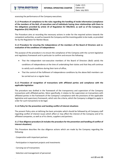assessing the performance of the Company executives.

#### **3.1.3 Procedure of compliance to the rules regarding the handling of inside information (compliance of the members of the BoD, of executives and of individuals having close relationships with them to the obligations provided by article 19 of Regulation EU 596/2014, as well as of the Company to Regulation (EU) 596/2014)**

The Procedure aims at recording the necessary actions in order for the required actions towards the competent authorities, as well as towards the Company and the investing public to be made, as provided for by the Regulation for Market Abuse.

#### **3.1.4 Procedure for ensuring the independence of the members of the Board of Directors and reevaluation of the conditions of independence**

The purpose of the procedure is to ensure the compliance of the Company with the current legislative and regulatory framework and in particular to confirm and ensure the following:

- That the independent non-executive members of the Board of Directors (BoD) satisfy the conditions of independence at the time of undertaking their duties and that they will continue to satisfy such conditions during their term of office,
- That the control of the fulfilment of independence conditions by the above BoD members can be carried out on a regular basis

## **3.1.5 Procedure of recognition of transactions with affiliated parties and compliance with the applicable legislation**

The procedure was drafted in the framework of the transparency and supervision of the Company transactions with affiliated parties. More specifically, it relates to the supervision on transactions with affiliated parties in the framework of the Company's compliance with the provisions of the applicable legislative and supervisory framework, which sets the criteria, which the Company is obliged to apply in order for such transactions to be legal.

#### **3.1.6 Policy for the prevention and handing conflict of interest situations**

The present Policy aims at defining the basic principles which should be followed by all Company staff regarding conflict of interest issues which affect or may affect the interest of the Company and of its affiliated companies, as well as of its clients, suppliers and partners.

#### **3.1.7 Due diligence procedure (it includes the procedure for the prevention and handling of conflict of interest situations)**

This Procedure describes the due diligence actions which are made by the Company regarding the following:

- · Cooperation with important partners
- · Participation in important projects and investments
- · Carrying out of transactions
- · Selection and management of personnel.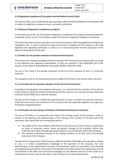#### **3.1.8 Regulatory Compliance & Corruption and Anti-Bribery Control Policy**

The present Policy aims at defining the basic principles which should be followed by all Company staff in relation to regulatory compliance issues, corruption and bribery.

#### **3.1.9 Manual of Regulatory Compliance procedures**

In the framework of the role of the Head of Regulatory Compliance the Company, having evaluated the complexity and the nature of its activities, adopts the manual of regulatory compliance procedures.

The manual describes the basic operations and internal procedures, which are applied by the Regulatory Compliance Unit, in order to ensure the timely and constant compliance of the Company to the valid legislative and regulatory framework, as well as to its internal document and the supervision of the degree of achievement of this goal.

#### **3.1.10 Policy for the periodic evaluation of Internal Control System**

The Company has adopted and applies Policy of evaluation of its Internal Control System (ICS), according to the legislative and regulatory requirements, as they are recorded in Law 4706/2020 and in the Decision of the Hellenic Capital Market Commission (HCMC) 1/891/30.9.2020.

The aim of the Policy if the periodic evaluation of the ICS of the Company so that it is constantly improved.

The competent Unit for the development and the update of the Policy is the Internal Audit Unit (IAU).

#### **3.1.11 Procedure for the periodic evaluation of the Internal Control System**

According to the legislative and regulatory framework, it is required that the evaluation of the internal Control System is performed either periodically (every three years) or on a case by case basis (following a decision of the HCMC) by an external evaluator.

The aim of the Procedure is to define the required actions in order to perform the periodic evaluation of the ICS and to ensure the compliance of the Company with the applicable legislative and regulatory framework and good practices.

#### **3.1.12 Procedure for the training of members of the Board of Directors & executives**

The aim of the Policy is to present the basic steps of the training system of the Company, mainly in relation to the planning and implementation of the training of the members of the BoD and of the executives. More specifically the training policy defines:

- A. The update of the new members of the BoD and new executives of the Company, emphasizing on issues of corporate culture, values and general strategy of the Company, before they undertake their duties through appropriate programs and introductory information meetings.
- B. The constant professional training of the existing members of the BoD and of the existing executives of the Company.

The aim of the training system of the Company, either for members of the BoD, or for executives, existing or new, is to obtain comprehensive knowledge of the operation of the Company, the clear understanding of the organizational structure, of the business model, the risk profile, of the financial and regulatory improvements in the sector of its activities on an international and national level and the improvement of the skills and institutional knowledge for the effective exercise of their duties on a constant basis and on a case by case basis, in the framework of corporate governance.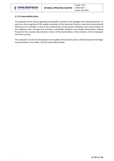## **3.1.13 Sustainability Policy**

The approach of the Group regarding Sustainability is based on the dialogue with interested parties, as well as on the recognition of the regular evaluation of the important financial, social and environmental influences of its activities. It aims at the enhancement of the positive influences and t the limitation of the negatives ones, through best practices, sustainable initiatives and reliable partnerships, looking forward to the constant improvement in favor of the shareholders, of the investors, of the employees and of the society.

The competent unit for the development and update of the present policy is the Directorate of Strategic Communication, Press office, CSR and Sustainable Growth.